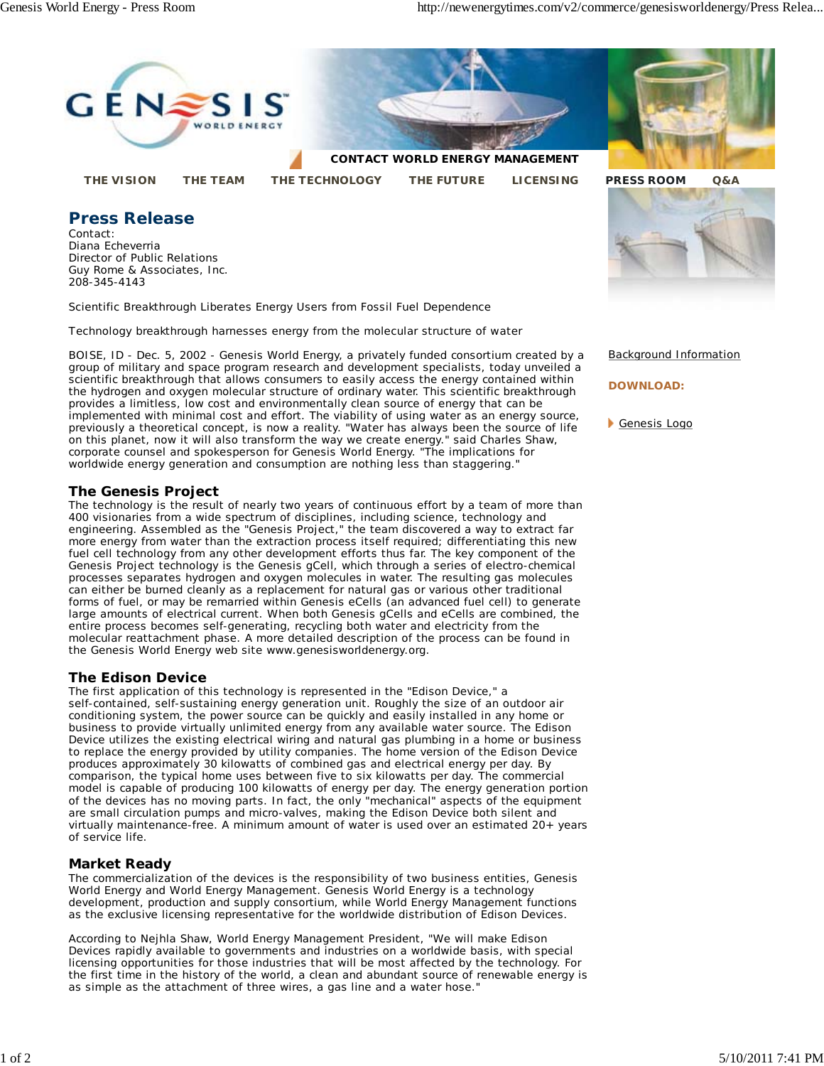Genesis Logo



**DOWNLOAD:**

group of military and space program research and development specialists, today unveiled a scientific breakthrough that allows consumers to easily access the energy contained within the hydrogen and oxygen molecular structure of ordinary water. This scientific breakthrough provides a limitless, low cost and environmentally clean source of energy that can be implemented with minimal cost and effort. The viability of using water as an energy source, previously a theoretical concept, is now a reality. "Water has always been the source of life on this planet, now it will also transform the way we create energy." said Charles Shaw, corporate counsel and spokesperson for Genesis World Energy. "The implications for worldwide energy generation and consumption are nothing less than staggering."

## **The Genesis Project**

The technology is the result of nearly two years of continuous effort by a team of more than 400 visionaries from a wide spectrum of disciplines, including science, technology and engineering. Assembled as the "Genesis Project," the team discovered a way to extract far more energy from water than the extraction process itself required; differentiating this new fuel cell technology from any other development efforts thus far. The key component of the Genesis Project technology is the Genesis gCell, which through a series of electro-chemical processes separates hydrogen and oxygen molecules in water. The resulting gas molecules can either be burned cleanly as a replacement for natural gas or various other traditional forms of fuel, or may be remarried within Genesis eCells (an advanced fuel cell) to generate large amounts of electrical current. When both Genesis gCells and eCells are combined, the entire process becomes self-generating, recycling both water and electricity from the molecular reattachment phase. A more detailed description of the process can be found in the Genesis World Energy web site www.genesisworldenergy.org.

## **The Edison Device**

The first application of this technology is represented in the "Edison Device," a self-contained, self-sustaining energy generation unit. Roughly the size of an outdoor air conditioning system, the power source can be quickly and easily installed in any home or business to provide virtually unlimited energy from any available water source. The Edison Device utilizes the existing electrical wiring and natural gas plumbing in a home or business to replace the energy provided by utility companies. The home version of the Edison Device produces approximately 30 kilowatts of combined gas and electrical energy per day. By comparison, the typical home uses between five to six kilowatts per day. The commercial model is capable of producing 100 kilowatts of energy per day. The energy generation portion of the devices has no moving parts. In fact, the only "mechanical" aspects of the equipment are small circulation pumps and micro-valves, making the Edison Device both silent and virtually maintenance-free. A minimum amount of water is used over an estimated 20+ years of service life.

## **Market Ready**

The commercialization of the devices is the responsibility of two business entities, Genesis World Energy and World Energy Management. Genesis World Energy is a technology development, production and supply consortium, while World Energy Management functions as the exclusive licensing representative for the worldwide distribution of Edison Devices.

According to Nejhla Shaw, World Energy Management President, "We will make Edison Devices rapidly available to governments and industries on a worldwide basis, with special licensing opportunities for those industries that will be most affected by the technology. For the first time in the history of the world, a clean and abundant source of renewable energy is as simple as the attachment of three wires, a gas line and a water hose."